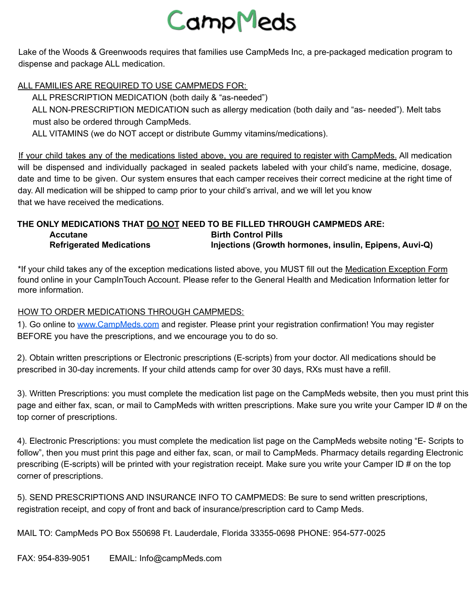# CampMeds

Lake of the Woods & Greenwoods requires that families use CampMeds Inc, a pre-packaged medication program to dispense and package ALL medication.

#### ALL FAMILIES ARE REQUIRED TO USE CAMPMEDS FOR:

ALL PRESCRIPTION MEDICATION (both daily & "as-needed")

ALL NON-PRESCRIPTION MEDICATION such as allergy medication (both daily and "as- needed"). Melt tabs must also be ordered through CampMeds.

ALL VITAMINS (we do NOT accept or distribute Gummy vitamins/medications).

If your child takes any of the medications listed above, you are required to register with CampMeds. All medication will be dispensed and individually packaged in sealed packets labeled with your child's name, medicine, dosage, date and time to be given. Our system ensures that each camper receives their correct medicine at the right time of day. All medication will be shipped to camp prior to your child's arrival, and we will let you know that we have received the medications.

#### **THE ONLY MEDICATIONS THAT DO NOT NEED TO BE FILLED THROUGH CAMPMEDS ARE: Accutane Birth Control Pills Refrigerated Medications Injections (Growth hormones, insulin, Epipens, Auvi-Q)**

\*If your child takes any of the exception medications listed above, you MUST fill out the Medication Exception Form found online in your CampInTouch Account. Please refer to the General Health and Medication Information letter for more information.

#### HOW TO ORDER MEDICATIONS THROUGH CAMPMEDS:

1). Go online to www.CampMeds.com and register. Please print your registration confirmation! You may register BEFORE you have the prescriptions, and we encourage you to do so.

2). Obtain written prescriptions or Electronic prescriptions (E-scripts) from your doctor. All medications should be prescribed in 30-day increments. If your child attends camp for over 30 days, RXs must have a refill.

3). Written Prescriptions: you must complete the medication list page on the CampMeds website, then you must print this page and either fax, scan, or mail to CampMeds with written prescriptions. Make sure you write your Camper ID # on the top corner of prescriptions.

4). Electronic Prescriptions: you must complete the medication list page on the CampMeds website noting "E- Scripts to follow", then you must print this page and either fax, scan, or mail to CampMeds. Pharmacy details regarding Electronic prescribing (E-scripts) will be printed with your registration receipt. Make sure you write your Camper ID # on the top corner of prescriptions.

5). SEND PRESCRIPTIONS AND INSURANCE INFO TO CAMPMEDS: Be sure to send written prescriptions, registration receipt, and copy of front and back of insurance/prescription card to Camp Meds.

MAIL TO: CampMeds PO Box 550698 Ft. Lauderdale, Florida 33355-0698 PHONE: 954-577-0025

FAX: 954-839-9051 EMAIL: Info@campMeds.com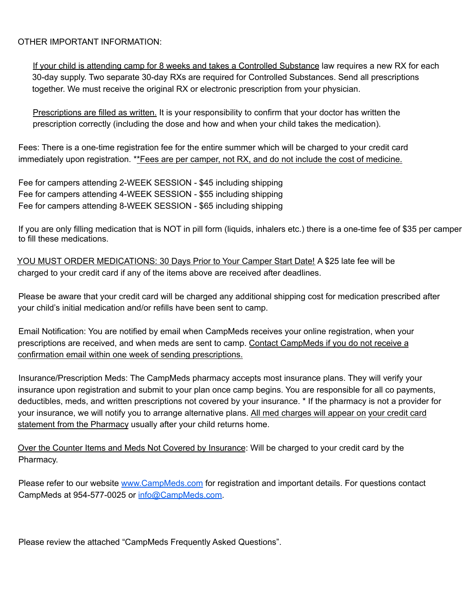#### OTHER IMPORTANT INFORMATION:

If your child is attending camp for 8 weeks and takes a Controlled Substance law requires a new RX for each 30-day supply. Two separate 30-day RXs are required for Controlled Substances. Send all prescriptions together. We must receive the original RX or electronic prescription from your physician.

Prescriptions are filled as written. It is your responsibility to confirm that your doctor has written the prescription correctly (including the dose and how and when your child takes the medication).

Fees: There is a one-time registration fee for the entire summer which will be charged to your credit card immediately upon registration. \*\* Fees are per camper, not RX, and do not include the cost of medicine.

Fee for campers attending 2-WEEK SESSION - \$45 including shipping Fee for campers attending 4-WEEK SESSION - \$55 including shipping Fee for campers attending 8-WEEK SESSION - \$65 including shipping

If you are only filling medication that is NOT in pill form (liquids, inhalers etc.) there is a one-time fee of \$35 per camper to fill these medications.

YOU MUST ORDER MEDICATIONS: 30 Days Prior to Your Camper Start Date! A \$25 late fee will be charged to your credit card if any of the items above are received after deadlines.

Please be aware that your credit card will be charged any additional shipping cost for medication prescribed after your child's initial medication and/or refills have been sent to camp.

Email Notification: You are notified by email when CampMeds receives your online registration, when your prescriptions are received, and when meds are sent to camp. Contact CampMeds if you do not receive a confirmation email within one week of sending prescriptions.

Insurance/Prescription Meds: The CampMeds pharmacy accepts most insurance plans. They will verify your insurance upon registration and submit to your plan once camp begins. You are responsible for all co payments, deductibles, meds, and written prescriptions not covered by your insurance. \* If the pharmacy is not a provider for your insurance, we will notify you to arrange alternative plans. All med charges will appear on your credit card statement from the Pharmacy usually after your child returns home.

Over the Counter Items and Meds Not Covered by Insurance: Will be charged to your credit card by the Pharmacy.

Please refer to our website www.CampMeds.com for registration and important details. For questions contact CampMeds at 954-577-0025 or info@CampMeds.com.

Please review the attached "CampMeds Frequently Asked Questions".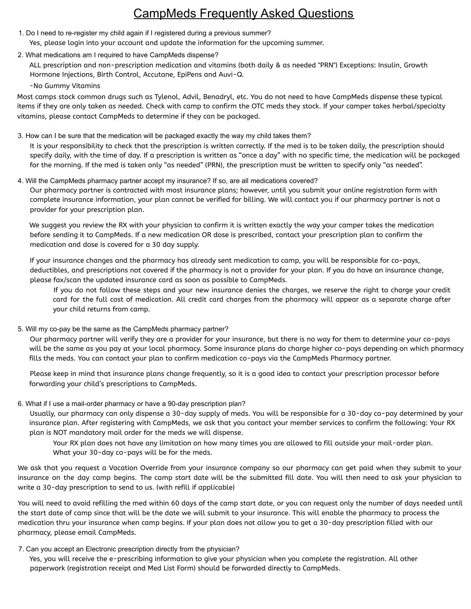## CampMeds Frequently Asked Questions

- 1. Do I need to re-register my child again if I registered during a previous summer? Yes, please login into your account and update the information for the upcoming summer.
- 2. What medications am I required to have CampMeds dispense?

ALL prescription and non-prescription medication and vitamins (both daily & as needed "PRN") Exceptions: Insulin, Growth Hormone Injections, Birth Control, Accutane, EpiPens and Auvi-Q.

-No Gummy Vitamins

Most camps stock common drugs such as Tylenol, Advil, Benadryl, etc. You do not need to have CampMeds dispense these typical items if they are only taken as needed. Check with camp to confirm the OTC meds they stock. If your camper takes herbal/specialty vitamins, please contact CampMeds to determine if they can be packaged.

3. How can I be sure that the medication will be packaged exactly the way my child takes them?

It is your responsibility to check that the prescription is written correctly. If the med is to be taken daily, the prescription should specify daily, with the time of day. If a prescription is written as "once a day" with no specific time, the medication will be packaged for the morning. If the med is taken only "as needed" (PRN), the prescription must be written to specify only "as needed".

4. Will the CampMeds pharmacy partner accept my insurance? If so, are all medications covered? Our pharmacy partner is contracted with most insurance plans; however, until you submit your online registration form with complete insurance information, your plan cannot be verified for billing. We will contact you if our pharmacy partner is not a provider for your prescription plan.

We suggest you review the RX with your physician to confirm it is written exactly the way your camper takes the medication before sending it to CampMeds. If a new medication OR dose is prescribed, contact your prescription plan to confirm the medication and dose is covered for a 30 day supply.

If your insurance changes and the pharmacy has already sent medication to camp, you will be responsible for co-pays, deductibles, and prescriptions not covered if the pharmacy is not a provider for your plan. If you do have an insurance change, please fax/scan the updated insurance card as soon as possible to CampMeds.

If you do not follow these steps and your new insurance denies the charges, we reserve the right to charge your credit card for the full cost of medication. All credit card charges from the pharmacy will appear as a separate charge after your child returns from camp.

5. Will my co-pay be the same as the CampMeds pharmacy partner?

Our pharmacy partner will verify they are a provider for your insurance, but there is no way for them to determine your co-pays will be the same as you pay at your local pharmacy. Some insurance plans do charge higher co-pays depending on which pharmacy fills the meds. You can contact your plan to confirm medication co-pays via the CampMeds Pharmacy partner.

Please keep in mind that insurance plans change frequently, so it is a good idea to contact your prescription processor before forwarding your child's prescriptions to CampMeds.

6. What if I use a mail-order pharmacy or have a 90-day prescription plan?

Usually, our pharmacy can only dispense a 30-day supply of meds. You will be responsible for a 30-day co-pay determined by your insurance plan. After registering with CampMeds, we ask that you contact your member services to confirm the following: Your RX plan is NOT mandatory mail order for the meds we will dispense.

Your RX plan does not have any limitation on how many times you are allowed to fill outside your mail-order plan. What your 30-day co-pays will be for the meds.

We ask that you request a Vacation Override from your insurance company so our pharmacy can get paid when they submit to your insurance on the day camp begins. The camp start date will be the submitted fill date. You will then need to ask your physician to write a 30-day prescription to send to us. (with refill if applicable)

You will need to avoid refilling the med within 60 days of the camp start date, or you can request only the number of days needed until the start date of camp since that will be the date we will submit to your insurance. This will enable the pharmacy to process the medication thru your insurance when camp begins. If your plan does not allow you to get a 30-day prescription filled with our pharmacy, please email CampMeds.

7. Can you accept an Electronic prescription directly from the physician?

Yes, you will receive the e-prescribing information to give your physician when you complete the registration. All other paperwork (registration receipt and Med List Form) should be forwarded directly to CampMeds.